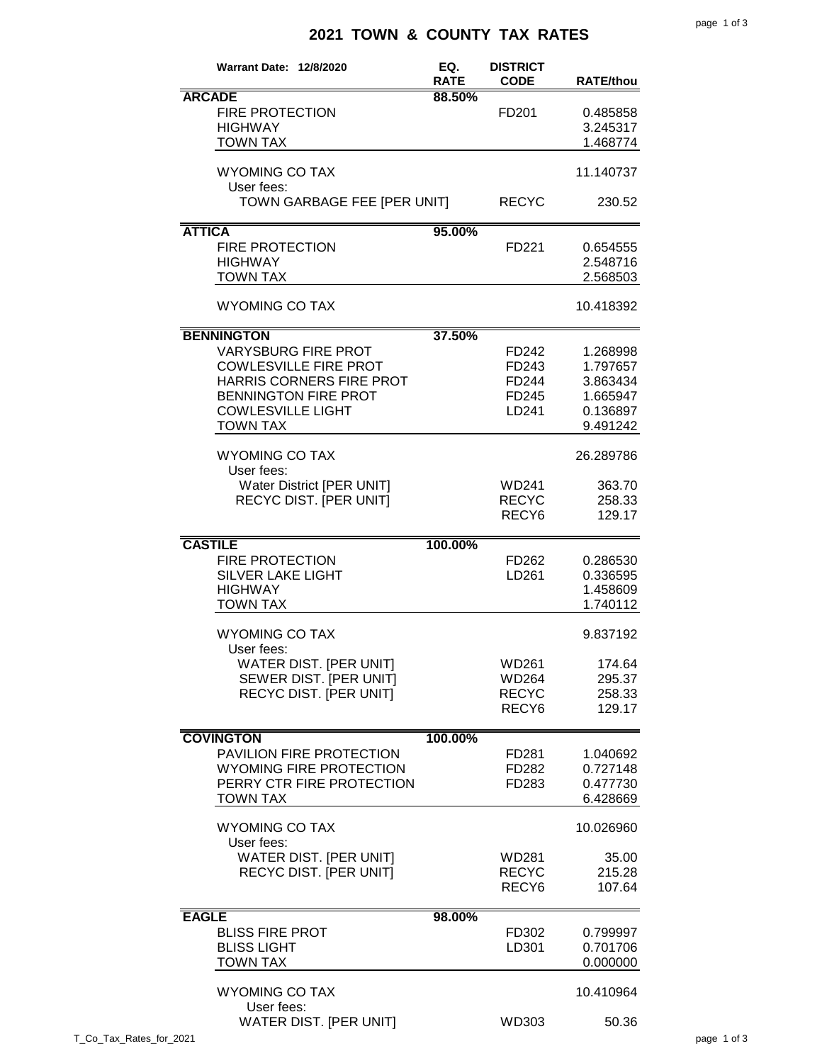## **2021 TOWN & COUNTY TAX RATES**

|                         | <b>Warrant Date: 12/8/2020</b> | EQ.                   | <b>DISTRICT</b><br><b>CODE</b> |                  |
|-------------------------|--------------------------------|-----------------------|--------------------------------|------------------|
|                         | <b>ARCADE</b>                  | <b>RATE</b><br>88.50% |                                | <b>RATE/thou</b> |
|                         |                                |                       |                                |                  |
|                         | <b>FIRE PROTECTION</b>         |                       | FD <sub>201</sub>              | 0.485858         |
|                         | <b>HIGHWAY</b>                 |                       |                                | 3.245317         |
|                         | <b>TOWN TAX</b>                |                       |                                | 1.468774         |
|                         | <b>WYOMING CO TAX</b>          |                       |                                | 11.140737        |
|                         | User fees:                     |                       |                                |                  |
|                         | TOWN GARBAGE FEE [PER UNIT]    |                       | <b>RECYC</b>                   | 230.52           |
|                         |                                |                       |                                |                  |
| <b>ATTICA</b>           |                                | 95.00%                |                                |                  |
|                         | <b>FIRE PROTECTION</b>         |                       | FD221                          | 0.654555         |
|                         | <b>HIGHWAY</b>                 |                       |                                | 2.548716         |
|                         | <b>TOWN TAX</b>                |                       |                                | 2.568503         |
|                         |                                |                       |                                |                  |
|                         | <b>WYOMING CO TAX</b>          |                       |                                | 10.418392        |
|                         | <b>BENNINGTON</b>              | 37.50%                |                                |                  |
|                         | <b>VARYSBURG FIRE PROT</b>     |                       | FD242                          | 1.268998         |
|                         |                                |                       |                                |                  |
|                         | <b>COWLESVILLE FIRE PROT</b>   |                       | FD243                          | 1.797657         |
|                         | HARRIS CORNERS FIRE PROT       |                       | FD244                          | 3.863434         |
|                         | <b>BENNINGTON FIRE PROT</b>    |                       | FD245                          | 1.665947         |
|                         | <b>COWLESVILLE LIGHT</b>       |                       | LD241                          | 0.136897         |
|                         | <b>TOWN TAX</b>                |                       |                                | 9.491242         |
|                         |                                |                       |                                |                  |
|                         | <b>WYOMING CO TAX</b>          |                       |                                | 26.289786        |
|                         | User fees:                     |                       |                                |                  |
|                         | Water District [PER UNIT]      |                       | WD241                          | 363.70           |
|                         | <b>RECYC DIST. [PER UNIT]</b>  |                       | <b>RECYC</b>                   | 258.33           |
|                         |                                |                       | RECY <sub>6</sub>              | 129.17           |
|                         |                                |                       |                                |                  |
|                         | <b>CASTILE</b>                 | 100.00%               |                                |                  |
|                         | <b>FIRE PROTECTION</b>         |                       | FD262                          | 0.286530         |
|                         | <b>SILVER LAKE LIGHT</b>       |                       | LD261                          | 0.336595         |
|                         | <b>HIGHWAY</b>                 |                       |                                | 1.458609         |
|                         | <b>TOWN TAX</b>                |                       |                                | 1.740112         |
|                         | <b>WYOMING CO TAX</b>          |                       |                                |                  |
|                         | User fees:                     |                       |                                | 9.837192         |
|                         | WATER DIST. [PER UNIT]         |                       | <b>WD261</b>                   | 174.64           |
|                         |                                |                       |                                |                  |
|                         | SEWER DIST. [PER UNIT]         |                       | WD264                          | 295.37           |
|                         | RECYC DIST. [PER UNIT]         |                       | <b>RECYC</b>                   | 258.33           |
|                         |                                |                       | RECY <sub>6</sub>              | 129.17           |
|                         | <b>COVINGTON</b>               | 100.00%               |                                |                  |
|                         | PAVILION FIRE PROTECTION       |                       | FD281                          | 1.040692         |
|                         | <b>WYOMING FIRE PROTECTION</b> |                       |                                | 0.727148         |
|                         |                                |                       | FD282                          |                  |
|                         | PERRY CTR FIRE PROTECTION      |                       | FD283                          | 0.477730         |
|                         | <b>TOWN TAX</b>                |                       |                                | 6.428669         |
|                         | <b>WYOMING CO TAX</b>          |                       |                                | 10.026960        |
|                         | User fees:                     |                       |                                |                  |
|                         | WATER DIST. [PER UNIT]         |                       | WD281                          | 35.00            |
|                         | <b>RECYC DIST. [PER UNIT]</b>  |                       | <b>RECYC</b>                   | 215.28           |
|                         |                                |                       | RECY <sub>6</sub>              | 107.64           |
|                         |                                |                       |                                |                  |
| <b>EAGLE</b>            |                                | 98.00%                |                                |                  |
|                         | <b>BLISS FIRE PROT</b>         |                       | FD302                          | 0.799997         |
|                         | <b>BLISS LIGHT</b>             |                       | LD301                          | 0.701706         |
|                         | <b>TOWN TAX</b>                |                       |                                | 0.000000         |
|                         |                                |                       |                                |                  |
|                         | <b>WYOMING CO TAX</b>          |                       |                                | 10.410964        |
|                         | User fees:                     |                       |                                |                  |
|                         | WATER DIST. [PER UNIT]         |                       | WD303                          | 50.36            |
| T_Co_Tax_Rates_for_2021 |                                |                       |                                |                  |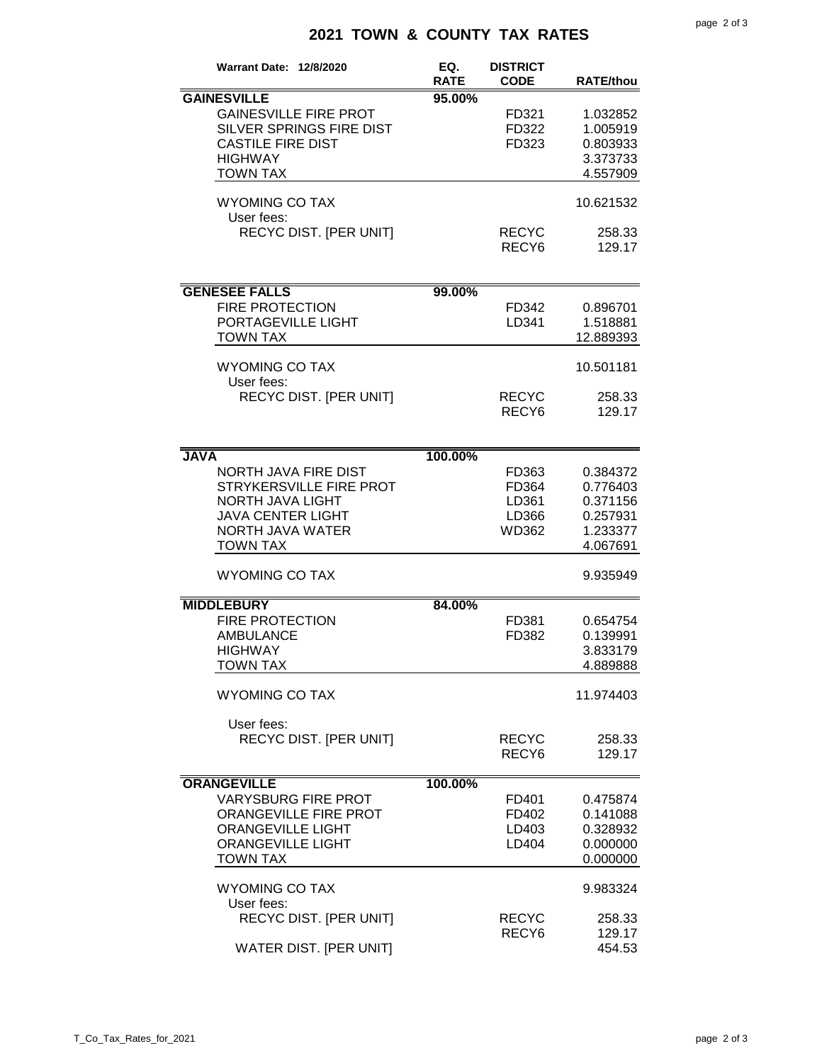## **2021 TOWN & COUNTY TAX RATES**

| <b>Warrant Date: 12/8/2020</b>      | EQ.         | <b>DISTRICT</b>   |                  |
|-------------------------------------|-------------|-------------------|------------------|
|                                     | <b>RATE</b> | <b>CODE</b>       | <b>RATE/thou</b> |
| <b>GAINESVILLE</b>                  | 95.00%      |                   |                  |
| <b>GAINESVILLE FIRE PROT</b>        |             | FD321             | 1.032852         |
| SILVER SPRINGS FIRE DIST            |             | FD322             | 1.005919         |
| <b>CASTILE FIRE DIST</b>            |             | FD323             | 0.803933         |
| <b>HIGHWAY</b>                      |             |                   | 3.373733         |
| <b>TOWN TAX</b>                     |             |                   | 4.557909         |
|                                     |             |                   |                  |
| <b>WYOMING CO TAX</b><br>User fees: |             |                   | 10.621532        |
| RECYC DIST. [PER UNIT]              |             | <b>RECYC</b>      | 258.33           |
|                                     |             | RECY <sub>6</sub> | 129.17           |
|                                     |             |                   |                  |
|                                     |             |                   |                  |
| <b>GENESEE FALLS</b>                | 99.00%      |                   |                  |
| <b>FIRE PROTECTION</b>              |             | FD342             | 0.896701         |
| PORTAGEVILLE LIGHT                  |             | LD341             | 1.518881         |
| <b>TOWN TAX</b>                     |             |                   | 12.889393        |
| <b>WYOMING CO TAX</b>               |             |                   | 10.501181        |
| User fees:                          |             |                   |                  |
| <b>RECYC DIST. [PER UNIT]</b>       |             | <b>RECYC</b>      | 258.33           |
|                                     |             | RECY <sub>6</sub> | 129.17           |
|                                     |             |                   |                  |
| <b>JAVA</b>                         | 100.00%     |                   |                  |
| NORTH JAVA FIRE DIST                |             | FD363             | 0.384372         |
| STRYKERSVILLE FIRE PROT             |             | FD364             | 0.776403         |
| NORTH JAVA LIGHT                    |             | LD361             | 0.371156         |
| <b>JAVA CENTER LIGHT</b>            |             | LD366             | 0.257931         |
| NORTH JAVA WATER                    |             | WD362             | 1.233377         |
| <b>TOWN TAX</b>                     |             |                   | 4.067691         |
|                                     |             |                   |                  |
| <b>WYOMING CO TAX</b>               |             |                   | 9.935949         |
| <b>MIDDLEBURY</b>                   | 84.00%      |                   |                  |
| <b>FIRE PROTECTION</b>              |             | FD381             | 0.654754         |
| <b>AMBULANCE</b>                    |             | FD382             | 0.139991         |
| <b>HIGHWAY</b>                      |             |                   | 3.833179         |
| <b>TOWN TAX</b>                     |             |                   | 4.889888         |
|                                     |             |                   |                  |
| <b>WYOMING CO TAX</b>               |             |                   | 11.974403        |
| User fees:                          |             |                   |                  |
| <b>RECYC DIST. [PER UNIT]</b>       |             | <b>RECYC</b>      | 258.33           |
|                                     |             | RECY <sub>6</sub> | 129.17           |
|                                     |             |                   |                  |
| <b>ORANGEVILLE</b>                  | 100.00%     |                   |                  |
| <b>VARYSBURG FIRE PROT</b>          |             | FD401             | 0.475874         |
| ORANGEVILLE FIRE PROT               |             | FD402             | 0.141088         |
| <b>ORANGEVILLE LIGHT</b>            |             | LD403             | 0.328932         |
| <b>ORANGEVILLE LIGHT</b>            |             | LD404             | 0.000000         |
| <b>TOWN TAX</b>                     |             |                   | 0.000000         |
| <b>WYOMING CO TAX</b>               |             |                   | 9.983324         |
| User fees:                          |             |                   |                  |
| <b>RECYC DIST. [PER UNIT]</b>       |             | <b>RECYC</b>      | 258.33           |
| WATER DIST. [PER UNIT]              |             | RECY <sub>6</sub> | 129.17<br>454.53 |
|                                     |             |                   |                  |